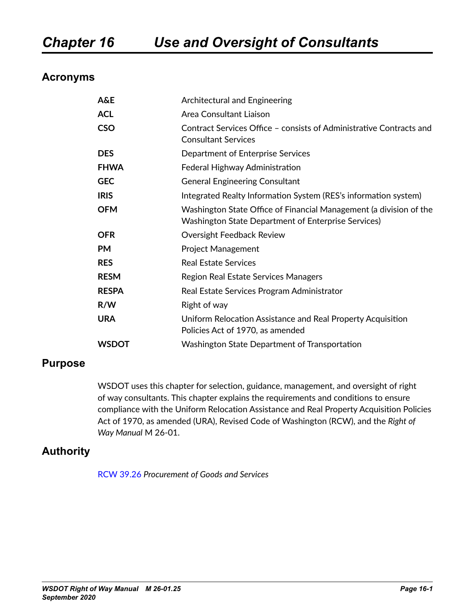### **Acronyms**

| A&E          | Architectural and Engineering                                                                                                    |
|--------------|----------------------------------------------------------------------------------------------------------------------------------|
| <b>ACL</b>   | Area Consultant Liaison                                                                                                          |
| <b>CSO</b>   | Contract Services Office - consists of Administrative Contracts and<br><b>Consultant Services</b>                                |
| <b>DES</b>   | Department of Enterprise Services                                                                                                |
| <b>FHWA</b>  | Federal Highway Administration                                                                                                   |
| <b>GEC</b>   | <b>General Engineering Consultant</b>                                                                                            |
| <b>IRIS</b>  | Integrated Realty Information System (RES's information system)                                                                  |
| <b>OFM</b>   | Washington State Office of Financial Management (a division of the<br><b>Washington State Department of Enterprise Services)</b> |
| <b>OFR</b>   | Oversight Feedback Review                                                                                                        |
| <b>PM</b>    | <b>Project Management</b>                                                                                                        |
| <b>RES</b>   | <b>Real Estate Services</b>                                                                                                      |
| <b>RESM</b>  | Region Real Estate Services Managers                                                                                             |
| <b>RESPA</b> | Real Estate Services Program Administrator                                                                                       |
| R/W          | Right of way                                                                                                                     |
| <b>URA</b>   | Uniform Relocation Assistance and Real Property Acquisition<br>Policies Act of 1970, as amended                                  |
| <b>WSDOT</b> | Washington State Department of Transportation                                                                                    |

#### **Purpose**

WSDOT uses this chapter for selection, guidance, management, and oversight of right of way consultants. This chapter explains the requirements and conditions to ensure compliance with the Uniform Relocation Assistance and Real Property Acquisition Policies Act of 1970, as amended (URA), Revised Code of Washington (RCW), and the *Right of Way Manual* M 26-01.

#### **Authority**

[RCW 39.26](http://apps.leg.wa.gov/RCW/default.aspx?cite=39.26&full=true) *Procurement of Goods and Services*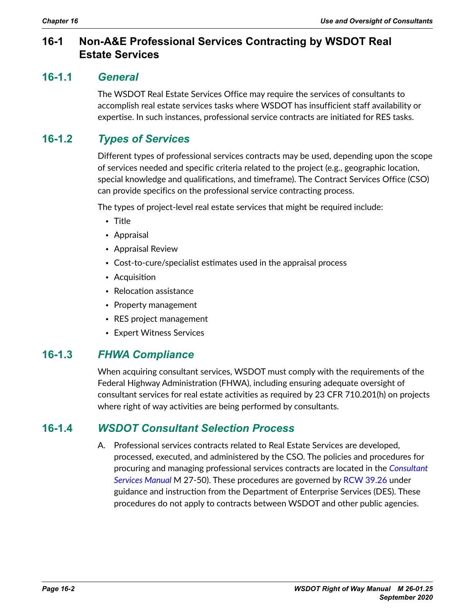### **16-1 Non-A&E Professional Services Contracting by WSDOT Real Estate Services**

#### **16-1.1** *General*

The WSDOT Real Estate Services Office may require the services of consultants to accomplish real estate services tasks where WSDOT has insufficient staff availability or expertise. In such instances, professional service contracts are initiated for RES tasks.

## **16-1.2** *Types of Services*

Different types of professional services contracts may be used, depending upon the scope of services needed and specific criteria related to the project (e.g., geographic location, special knowledge and qualifications, and timeframe). The Contract Services Office (CSO) can provide specifics on the professional service contracting process.

The types of project-level real estate services that might be required include:

- Title
- Appraisal
- Appraisal Review
- Cost-to-cure/specialist estimates used in the appraisal process
- Acquisition
- Relocation assistance
- Property management
- RES project management
- Expert Witness Services

### **16-1.3** *FHWA Compliance*

When acquiring consultant services, WSDOT must comply with the requirements of the Federal Highway Administration (FHWA), including ensuring adequate oversight of consultant services for real estate activities as required by 23 CFR 710.201(h) on projects where right of way activities are being performed by consultants.

### **16-1.4** *WSDOT Consultant Selection Process*

A. Professional services contracts related to Real Estate Services are developed, processed, executed, and administered by the CSO. The policies and procedures for procuring and managing professional services contracts are located in the *[Consultant](http://www.wsdot.wa.gov/Publications/Manuals/M27-50.htm)  [Services Manual](http://www.wsdot.wa.gov/Publications/Manuals/M27-50.htm)* M 27-50). These procedures are governed by [RCW 39.26](http://apps.leg.wa.gov/RCW/default.aspx?cite=39.26&full=true) under guidance and instruction from the Department of Enterprise Services (DES). These procedures do not apply to contracts between WSDOT and other public agencies.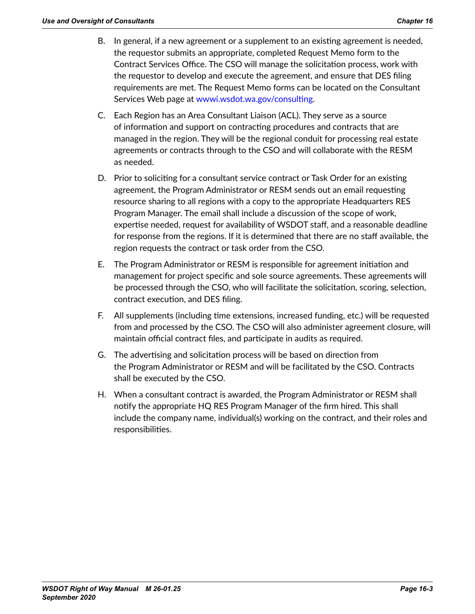- B. In general, if a new agreement or a supplement to an existing agreement is needed, the requestor submits an appropriate, completed Request Memo form to the Contract Services Office. The CSO will manage the solicitation process, work with the requestor to develop and execute the agreement, and ensure that DES filing requirements are met. The Request Memo forms can be located on the Consultant Services Web page at [wwwi.wsdot.wa.gov/consulting](http://wwwi.wsdot.wa.gov/consulting).
- C. Each Region has an Area Consultant Liaison (ACL). They serve as a source of information and support on contracting procedures and contracts that are managed in the region. They will be the regional conduit for processing real estate agreements or contracts through to the CSO and will collaborate with the RESM as needed.
- D. Prior to soliciting for a consultant service contract or Task Order for an existing agreement, the Program Administrator or RESM sends out an email requesting resource sharing to all regions with a copy to the appropriate Headquarters RES Program Manager. The email shall include a discussion of the scope of work, expertise needed, request for availability of WSDOT staff, and a reasonable deadline for response from the regions. If it is determined that there are no staff available, the region requests the contract or task order from the CSO.
- E. The Program Administrator or RESM is responsible for agreement initiation and management for project specific and sole source agreements. These agreements will be processed through the CSO, who will facilitate the solicitation, scoring, selection, contract execution, and DES filing.
- F. All supplements (including time extensions, increased funding, etc.) will be requested from and processed by the CSO. The CSO will also administer agreement closure, will maintain official contract files, and participate in audits as required.
- G. The advertising and solicitation process will be based on direction from the Program Administrator or RESM and will be facilitated by the CSO. Contracts shall be executed by the CSO.
- H. When a consultant contract is awarded, the Program Administrator or RESM shall notify the appropriate HQ RES Program Manager of the firm hired. This shall include the company name, individual(s) working on the contract, and their roles and responsibilities.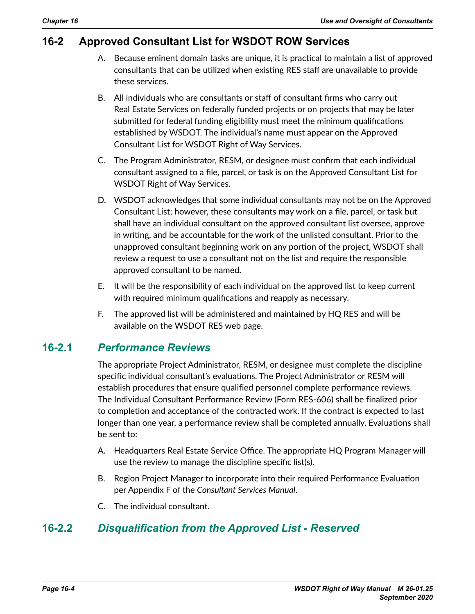## **16-2 Approved Consultant List for WSDOT ROW Services**

- A. Because eminent domain tasks are unique, it is practical to maintain a list of approved consultants that can be utilized when existing RES staff are unavailable to provide these services.
- B. All individuals who are consultants or staff of consultant firms who carry out Real Estate Services on federally funded projects or on projects that may be later submitted for federal funding eligibility must meet the minimum qualifications established by WSDOT. The individual's name must appear on the Approved Consultant List for WSDOT Right of Way Services.
- C. The Program Administrator, RESM, or designee must confirm that each individual consultant assigned to a file, parcel, or task is on the Approved Consultant List for WSDOT Right of Way Services.
- D. WSDOT acknowledges that some individual consultants may not be on the Approved Consultant List; however, these consultants may work on a file, parcel, or task but shall have an individual consultant on the approved consultant list oversee, approve in writing, and be accountable for the work of the unlisted consultant. Prior to the unapproved consultant beginning work on any portion of the project, WSDOT shall review a request to use a consultant not on the list and require the responsible approved consultant to be named.
- E. It will be the responsibility of each individual on the approved list to keep current with required minimum qualifications and reapply as necessary.
- F. The approved list will be administered and maintained by HQ RES and will be available on the WSDOT RES web page.

#### **16-2.1** *Performance Reviews*

The appropriate Project Administrator, RESM, or designee must complete the discipline specific individual consultant's evaluations. The Project Administrator or RESM will establish procedures that ensure qualified personnel complete performance reviews. The Individual Consultant Performance Review (Form RES-606) shall be finalized prior to completion and acceptance of the contracted work. If the contract is expected to last longer than one year, a performance review shall be completed annually. Evaluations shall be sent to:

- A. Headquarters Real Estate Service Office. The appropriate HQ Program Manager will use the review to manage the discipline specific list(s).
- B. Region Project Manager to incorporate into their required Performance Evaluation per Appendix F of the *Consultant Services Manual*.
- C. The individual consultant.

## **16-2.2** *Disqualification from the Approved List - Reserved*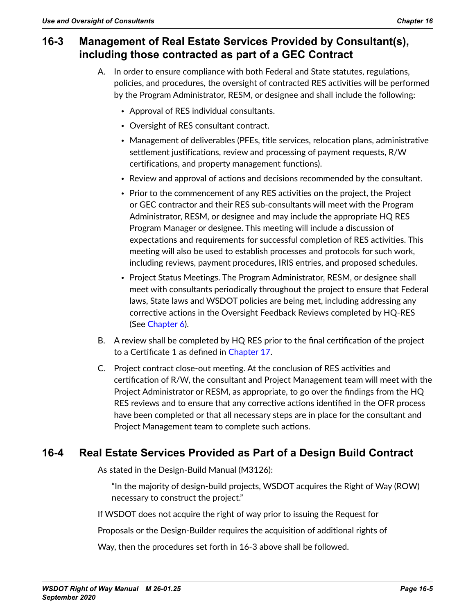### **16-3 Management of Real Estate Services Provided by Consultant(s), including those contracted as part of a GEC Contract**

- A. In order to ensure compliance with both Federal and State statutes, regulations, policies, and procedures, the oversight of contracted RES activities will be performed by the Program Administrator, RESM, or designee and shall include the following:
	- Approval of RES individual consultants.
	- Oversight of RES consultant contract.
	- Management of deliverables (PFEs, title services, relocation plans, administrative settlement justifications, review and processing of payment requests, R/W certifications, and property management functions).
	- Review and approval of actions and decisions recommended by the consultant.
	- Prior to the commencement of any RES activities on the project, the Project or GEC contractor and their RES sub-consultants will meet with the Program Administrator, RESM, or designee and may include the appropriate HQ RES Program Manager or designee. This meeting will include a discussion of expectations and requirements for successful completion of RES activities. This meeting will also be used to establish processes and protocols for such work, including reviews, payment procedures, IRIS entries, and proposed schedules.
	- Project Status Meetings. The Program Administrator, RESM, or designee shall meet with consultants periodically throughout the project to ensure that Federal laws, State laws and WSDOT policies are being met, including addressing any corrective actions in the Oversight Feedback Reviews completed by HQ-RES (See Chapter 6).
- B. A review shall be completed by HQ RES prior to the final certification of the project to a Certificate 1 as defined in Chapter 17.
- C. Project contract close-out meeting. At the conclusion of RES activities and certification of R/W, the consultant and Project Management team will meet with the Project Administrator or RESM, as appropriate, to go over the findings from the HQ RES reviews and to ensure that any corrective actions identified in the OFR process have been completed or that all necessary steps are in place for the consultant and Project Management team to complete such actions.

## **16-4 Real Estate Services Provided as Part of a Design Build Contract**

As stated in the Design-Build Manual (M3126):

"In the majority of design-build projects, WSDOT acquires the Right of Way (ROW) necessary to construct the project."

If WSDOT does not acquire the right of way prior to issuing the Request for

Proposals or the Design-Builder requires the acquisition of additional rights of

Way, then the procedures set forth in 16-3 above shall be followed.